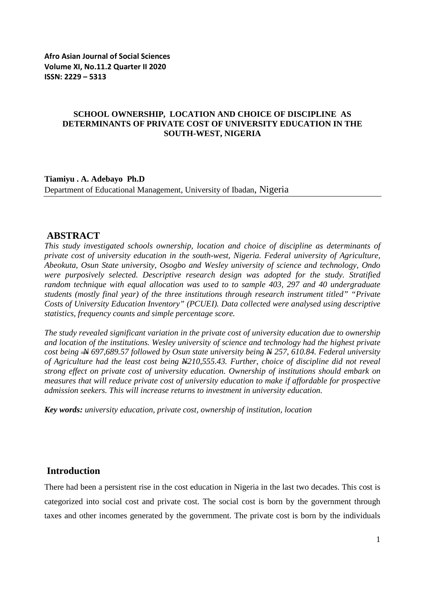#### **SCHOOL OWNERSHIP, LOCATION AND CHOICE OF DISCIPLINE AS DETERMINANTS OF PRIVATE COST OF UNIVERSITY EDUCATION IN THE SOUTH-WEST, NIGERIA**

**Tiamiyu . A. Adebayo Ph.D** Department of Educational Management, University of Ibadan, Nigeria

#### **ABSTRACT**

*This study investigated schools ownership, location and choice of discipline as determinants of private cost of university education in the south-west, Nigeria. Federal university of Agriculture, Abeokuta, Osun State university, Osogbo and Wesley university of science and technology, Ondo were purposively selected. Descriptive research design was adopted for the study. Stratified random technique with equal allocation was used to to sample 403, 297 and 40 undergraduate students (mostly final year) of the three institutions through research instrument titled" "Private Costs of University Education Inventory" (PCUEI). Data collected were analysed using descriptive statistics, frequency counts and simple percentage score.* 

*The study revealed significant variation in the private cost of university education due to ownership and location of the institutions. Wesley university of science and technology had the highest private cost being*  $\rightarrow$  *697,689.57 followed by Osun state university being*  $\rightarrow$  *257, 610.84. Federal university of Agriculture had the least cost being N210,555.43. Further, choice of discipline did not reveal strong effect on private cost of university education. Ownership of institutions should embark on measures that will reduce private cost of university education to make if affordable for prospective admission seekers. This will increase returns to investment in university education.* 

*Key words: university education, private cost, ownership of institution, location*

### **Introduction**

There had been a persistent rise in the cost education in Nigeria in the last two decades. This cost is categorized into social cost and private cost. The social cost is born by the government through taxes and other incomes generated by the government. The private cost is born by the individuals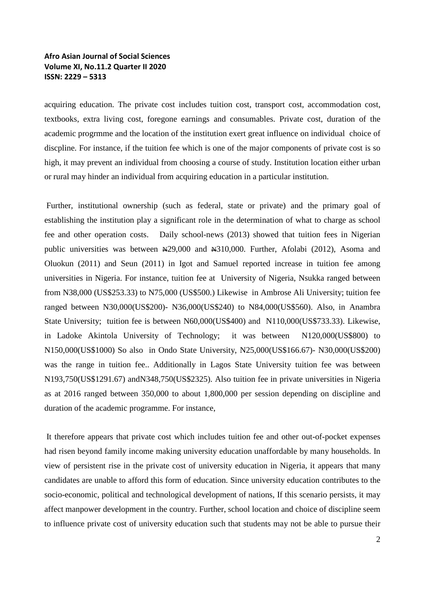acquiring education. The private cost includes tuition cost, transport cost, accommodation cost, textbooks, extra living cost, foregone earnings and consumables. Private cost, duration of the academic progrmme and the location of the institution exert great influence on individual choice of discpline. For instance, if the tuition fee which is one of the major components of private cost is so high, it may prevent an individual from choosing a course of study. Institution location either urban or rural may hinder an individual from acquiring education in a particular institution.

Further, institutional ownership (such as federal, state or private) and the primary goal of establishing the institution play a significant role in the determination of what to charge as school fee and other operation costs. Daily school-news (2013) showed that tuition fees in Nigerian public universities was between  $\frac{129,000}{1}$  and  $\frac{1210,000}{1}$ . Further, Afolabi (2012), Asoma and Oluokun (2011) and Seun (2011) in Igot and Samuel reported increase in tuition fee among universities in Nigeria. For instance, tuition fee at University of Nigeria, Nsukka ranged between from N38,000 (US\$253.33) to N75,000 (US\$500.) Likewise in Ambrose Ali University; tuition fee ranged between N30,000(US\$200)- N36,000(US\$240) to N84,000(US\$560). Also, in Anambra State University; tuition fee is between N60,000(US\$400) and N110,000(US\$733.33). Likewise, in Ladoke Akintola University of Technology; it was between N120,000(US\$800) to N150,000(US\$1000) So also in Ondo State University, N25,000(US\$166.67)- N30,000(US\$200) was the range in tuition fee.. Additionally in Lagos State University tuition fee was between N193,750(US\$1291.67) andN348,750(US\$2325). Also tuition fee in private universities in Nigeria as at 2016 ranged between 350,000 to about 1,800,000 per session depending on discipline and duration of the academic programme. For instance,

It therefore appears that private cost which includes tuition fee and other out-of-pocket expenses had risen beyond family income making university education unaffordable by many households. In view of persistent rise in the private cost of university education in Nigeria, it appears that many candidates are unable to afford this form of education. Since university education contributes to the socio-economic, political and technological development of nations, If this scenario persists, it may affect manpower development in the country. Further, school location and choice of discipline seem to influence private cost of university education such that students may not be able to pursue their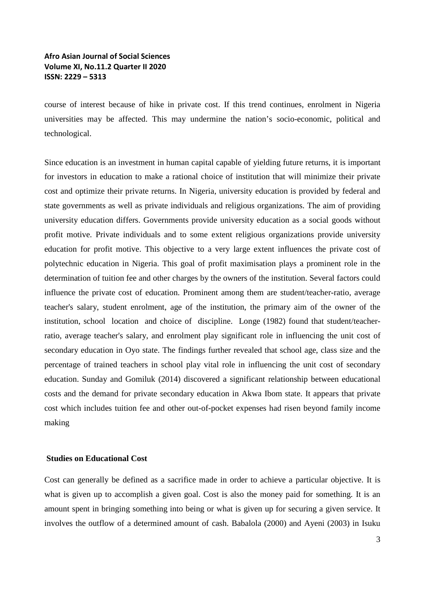course of interest because of hike in private cost. If this trend continues, enrolment in Nigeria universities may be affected. This may undermine the nation's socio-economic, political and technological.

Since education is an investment in human capital capable of yielding future returns, it is important for investors in education to make a rational choice of institution that will minimize their private cost and optimize their private returns. In Nigeria, university education is provided by federal and state governments as well as private individuals and religious organizations. The aim of providing university education differs. Governments provide university education as a social goods without profit motive. Private individuals and to some extent religious organizations provide university education for profit motive. This objective to a very large extent influences the private cost of polytechnic education in Nigeria. This goal of profit maximisation plays a prominent role in the determination of tuition fee and other charges by the owners of the institution. Several factors could influence the private cost of education. Prominent among them are student/teacher-ratio, average teacher's salary, student enrolment, age of the institution, the primary aim of the owner of the institution, school location and choice of discipline. Longe (1982) found that student/teacherratio, average teacher's salary, and enrolment play significant role in influencing the unit cost of secondary education in Oyo state. The findings further revealed that school age, class size and the percentage of trained teachers in school play vital role in influencing the unit cost of secondary education. Sunday and Gomiluk (2014) discovered a significant relationship between educational costs and the demand for private secondary education in Akwa Ibom state. It appears that private cost which includes tuition fee and other out-of-pocket expenses had risen beyond family income making

#### **Studies on Educational Cost**

Cost can generally be defined as a sacrifice made in order to achieve a particular objective. It is what is given up to accomplish a given goal. Cost is also the money paid for something. It is an amount spent in bringing something into being or what is given up for securing a given service. It involves the outflow of a determined amount of cash. Babalola (2000) and Ayeni (2003) in Isuku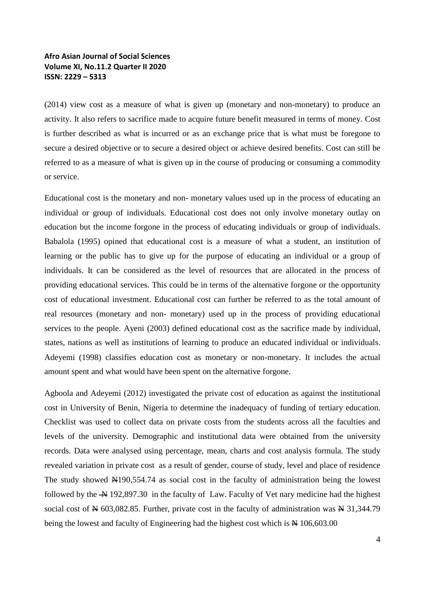(2014) view cost as a measure of what is given up (monetary and non-monetary) to produce an activity. It also refers to sacrifice made to acquire future benefit measured in terms of money. Cost is further described as what is incurred or as an exchange price that is what must be foregone to secure a desired objective or to secure a desired object or achieve desired benefits. Cost can still be referred to as a measure of what is given up in the course of producing or consuming a commodity or service.

Educational cost is the monetary and non- monetary values used up in the process of educating an individual or group of individuals. Educational cost does not only involve monetary outlay on education but the income forgone in the process of educating individuals or group of individuals. Babalola (1995) opined that educational cost is a measure of what a student, an institution of learning or the public has to give up for the purpose of educating an individual or a group of individuals. It can be considered as the level of resources that are allocated in the process of providing educational services. This could be in terms of the alternative forgone or the opportunity cost of educational investment. Educational cost can further be referred to as the total amount of real resources (monetary and non- monetary) used up in the process of providing educational services to the people. Ayeni (2003) defined educational cost as the sacrifice made by individual, states, nations as well as institutions of learning to produce an educated individual or individuals. Adeyemi (1998) classifies education cost as monetary or non-monetary. It includes the actual amount spent and what would have been spent on the alternative forgone.

Agboola and Adeyemi (2012) investigated the private cost of education as against the institutional cost in University of Benin, Nigeria to determine the inadequacy of funding of tertiary education. Checklist was used to collect data on private costs from the students across all the faculties and levels of the university. Demographic and institutional data were obtained from the university records. Data were analysed using percentage, mean, charts and cost analysis formula. The study revealed variation in private cost as a result of gender, course of study, level and place of residence The study showed  $\overline{N}190,554.74$  as social cost in the faculty of administration being the lowest followed by the  $\overline{+}$  192,897.30 in the faculty of Law. Faculty of Vet nary medicine had the highest social cost of  $\frac{1}{2}$  603,082.85. Further, private cost in the faculty of administration was  $\frac{1}{2}$  31,344.79 being the lowest and faculty of Engineering had the highest cost which is  $\cancel{\text{N}}$  106,603.00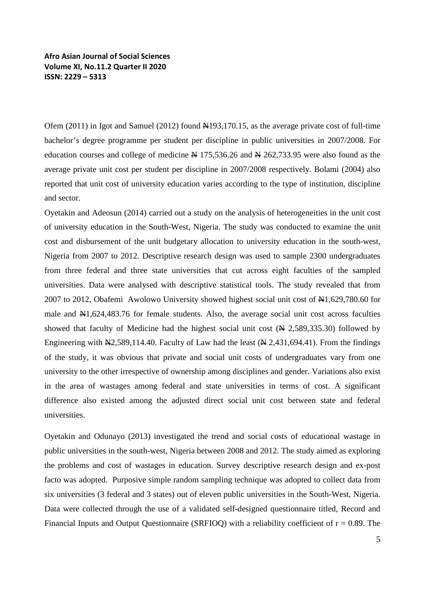Ofem (2011) in Igot and Samuel (2012) found N193,170.15, as the average private cost of full-time bachelor's degree programme per student per discipline in public universities in 2007/2008. For education courses and college of medicine  $\cancel{\text{A}}$  175,536.26 and  $\cancel{\text{A}}$  262,733.95 were also found as the average private unit cost per student per discipline in 2007/2008 respectively. Bolami (2004) also reported that unit cost of university education varies according to the type of institution, discipline and sector.

Oyetakin and Adeosun (2014) carried out a study on the analysis of heterogeneities in the unit cost of university education in the South-West, Nigeria. The study was conducted to examine the unit cost and disbursement of the unit budgetary allocation to university education in the south-west, Nigeria from 2007 to 2012. Descriptive research design was used to sample 2300 undergraduates from three federal and three state universities that cut across eight faculties of the sampled universities. Data were analysed with descriptive statistical tools. The study revealed that from 2007 to 2012, Obafemi Awolowo University showed highest social unit cost of N1,629,780.60 for male and  $\mathbb{H}1,624,483.76$  for female students. Also, the average social unit cost across faculties showed that faculty of Medicine had the highest social unit cost  $(\mathbb{A} 2, 589, 335.30)$  followed by Engineering with  $\mathbb{N}2,589,114.40$ . Faculty of Law had the least ( $\mathbb{N}2,431,694.41$ ). From the findings of the study, it was obvious that private and social unit costs of undergraduates vary from one university to the other irrespective of ownership among disciplines and gender. Variations also exist in the area of wastages among federal and state universities in terms of cost. A significant difference also existed among the adjusted direct social unit cost between state and federal universities.

Oyetakin and Odunayo (2013) investigated the trend and social costs of educational wastage in public universities in the south-west, Nigeria between 2008 and 2012. The study aimed as exploring the problems and cost of wastages in education. Survey descriptive research design and ex-post facto was adopted. Purposive simple random sampling technique was adopted to collect data from six universities (3 federal and 3 states) out of eleven public universities in the South-West, Nigeria. Data were collected through the use of a validated self-designed questionnaire titled, Record and Financial Inputs and Output Questionnaire (SRFIOO) with a reliability coefficient of  $r = 0.89$ . The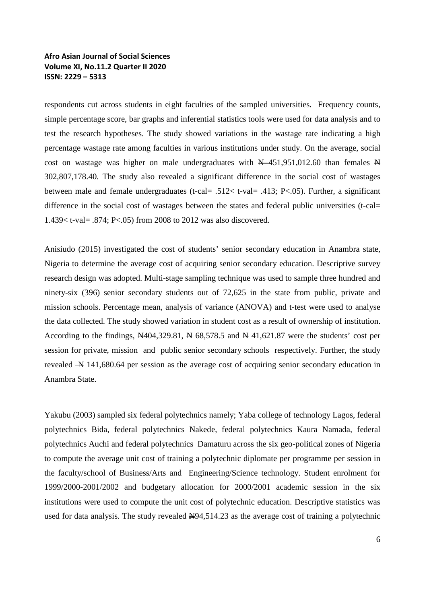respondents cut across students in eight faculties of the sampled universities. Frequency counts, simple percentage score, bar graphs and inferential statistics tools were used for data analysis and to test the research hypotheses. The study showed variations in the wastage rate indicating a high percentage wastage rate among faculties in various institutions under study. On the average, social cost on wastage was higher on male undergraduates with  $\cancel{N}$  451,951,012.60 than females  $\cancel{N}$ 302,807,178.40. The study also revealed a significant difference in the social cost of wastages between male and female undergraduates (t-cal= .512< t-val= .413; P<.05). Further, a significant difference in the social cost of wastages between the states and federal public universities (t-cal= 1.439< t-val= .874; P<.05) from 2008 to 2012 was also discovered.

Anisiudo (2015) investigated the cost of students' senior secondary education in Anambra state, Nigeria to determine the average cost of acquiring senior secondary education. Descriptive survey research design was adopted. Multi-stage sampling technique was used to sample three hundred and ninety-six (396) senior secondary students out of 72,625 in the state from public, private and mission schools. Percentage mean, analysis of variance (ANOVA) and t-test were used to analyse the data collected. The study showed variation in student cost as a result of ownership of institution. According to the findings,  $\cancel{N}404,329.81, \cancel{N}68,578.5$  and  $\cancel{N}41,621.87$  were the students' cost per session for private, mission and public senior secondary schools respectively. Further, the study revealed  $\rightarrow$  141,680.64 per session as the average cost of acquiring senior secondary education in Anambra State.

Yakubu (2003) sampled six federal polytechnics namely; Yaba college of technology Lagos, federal polytechnics Bida, federal polytechnics Nakede, federal polytechnics Kaura Namada, federal polytechnics Auchi and federal polytechnics Damaturu across the six geo-political zones of Nigeria to compute the average unit cost of training a polytechnic diplomate per programme per session in the faculty/school of Business/Arts and Engineering/Science technology. Student enrolment for 1999/2000-2001/2002 and budgetary allocation for 2000/2001 academic session in the six institutions were used to compute the unit cost of polytechnic education. Descriptive statistics was used for data analysis. The study revealed  $\frac{1000}{1000}$  as the average cost of training a polytechnic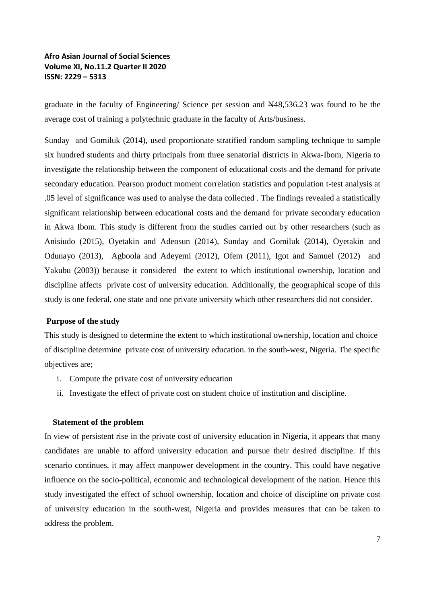graduate in the faculty of Engineering/ Science per session and N48,536.23 was found to be the average cost of training a polytechnic graduate in the faculty of Arts/business.

Sunday and Gomiluk (2014), used proportionate stratified random sampling technique to sample six hundred students and thirty principals from three senatorial districts in Akwa-Ibom, Nigeria to investigate the relationship between the component of educational costs and the demand for private secondary education. Pearson product moment correlation statistics and population t-test analysis at .05 level of significance was used to analyse the data collected . The findings revealed a statistically significant relationship between educational costs and the demand for private secondary education in Akwa Ibom. This study is different from the studies carried out by other researchers (such as Anisiudo (2015), Oyetakin and Adeosun (2014), Sunday and Gomiluk (2014), Oyetakin and Odunayo (2013), Agboola and Adeyemi (2012), Ofem (2011), Igot and Samuel (2012) and Yakubu (2003)) because it considered the extent to which institutional ownership, location and discipline affects private cost of university education. Additionally, the geographical scope of this study is one federal, one state and one private university which other researchers did not consider.

#### **Purpose of the study**

This study is designed to determine the extent to which institutional ownership, location and choice of discipline determine private cost of university education. in the south-west, Nigeria. The specific objectives are;

- i. Compute the private cost of university education
- ii. Investigate the effect of private cost on student choice of institution and discipline.

#### **Statement of the problem**

In view of persistent rise in the private cost of university education in Nigeria, it appears that many candidates are unable to afford university education and pursue their desired discipline. If this scenario continues, it may affect manpower development in the country. This could have negative influence on the socio-political, economic and technological development of the nation. Hence this study investigated the effect of school ownership, location and choice of discipline on private cost of university education in the south-west, Nigeria and provides measures that can be taken to address the problem.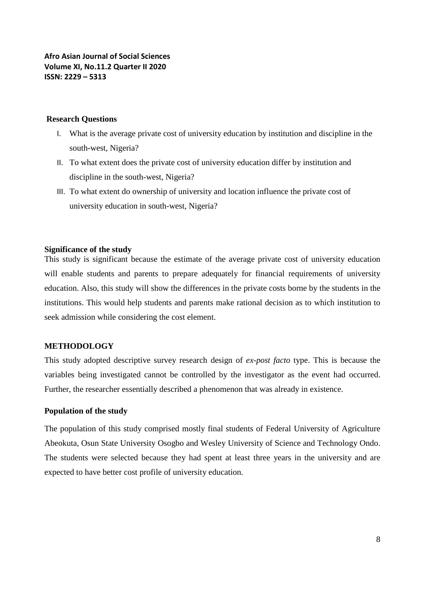#### **Research Questions**

- I. What is the average private cost of university education by institution and discipline in the south-west, Nigeria?
- II. To what extent does the private cost of university education differ by institution and discipline in the south-west, Nigeria?
- III. To what extent do ownership of university and location influence the private cost of university education in south-west, Nigeria?

#### **Significance of the study**

This study is significant because the estimate of the average private cost of university education will enable students and parents to prepare adequately for financial requirements of university education. Also, this study will show the differences in the private costs borne by the students in the institutions. This would help students and parents make rational decision as to which institution to seek admission while considering the cost element.

#### **METHODOLOGY**

This study adopted descriptive survey research design of *ex-post facto* type. This is because the variables being investigated cannot be controlled by the investigator as the event had occurred. Further, the researcher essentially described a phenomenon that was already in existence.

#### **Population of the study**

The population of this study comprised mostly final students of Federal University of Agriculture Abeokuta, Osun State University Osogbo and Wesley University of Science and Technology Ondo. The students were selected because they had spent at least three years in the university and are expected to have better cost profile of university education.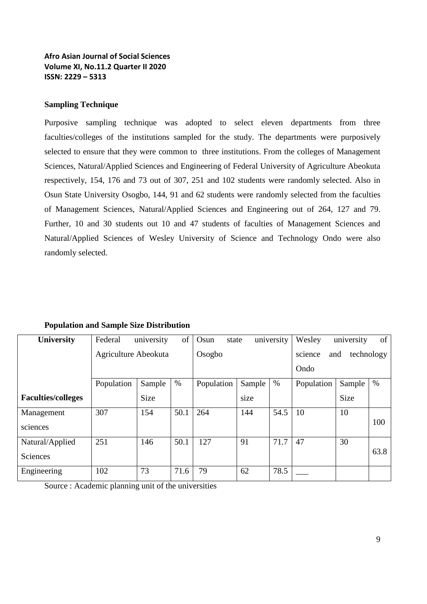#### **Sampling Technique**

Purposive sampling technique was adopted to select eleven departments from three faculties/colleges of the institutions sampled for the study. The departments were purposively selected to ensure that they were common to three institutions. From the colleges of Management Sciences, Natural/Applied Sciences and Engineering of Federal University of Agriculture Abeokuta respectively, 154, 176 and 73 out of 307, 251 and 102 students were randomly selected. Also in Osun State University Osogbo, 144, 91 and 62 students were randomly selected from the faculties of Management Sciences, Natural/Applied Sciences and Engineering out of 264, 127 and 79. Further, 10 and 30 students out 10 and 47 students of faculties of Management Sciences and Natural/Applied Sciences of Wesley University of Science and Technology Ondo were also randomly selected.

| <b>University</b>           | Federal              | university | of     | Osun<br>state |        | university                           | Wesley     | university  | of   |
|-----------------------------|----------------------|------------|--------|---------------|--------|--------------------------------------|------------|-------------|------|
|                             | Agriculture Abeokuta |            | Osogbo |               |        | technology<br>science<br>and<br>Ondo |            |             |      |
|                             | Population           | Sample     | $\%$   | Population    | Sample | $\%$                                 | Population | Sample      | $\%$ |
| <b>Faculties/colleges</b>   |                      | Size       |        |               | size   |                                      |            | <b>Size</b> |      |
| Management<br>sciences      | 307                  | 154        | 50.1   | 264           | 144    | 54.5                                 | 10         | 10          | 100  |
| Natural/Applied<br>Sciences | 251                  | 146        | 50.1   | 127           | 91     | 71.7                                 | 47         | 30          | 63.8 |
| Engineering                 | 102                  | 73         | 71.6   | 79            | 62     | 78.5                                 |            |             |      |

#### **Population and Sample Size Distribution**

Source : Academic planning unit of the universities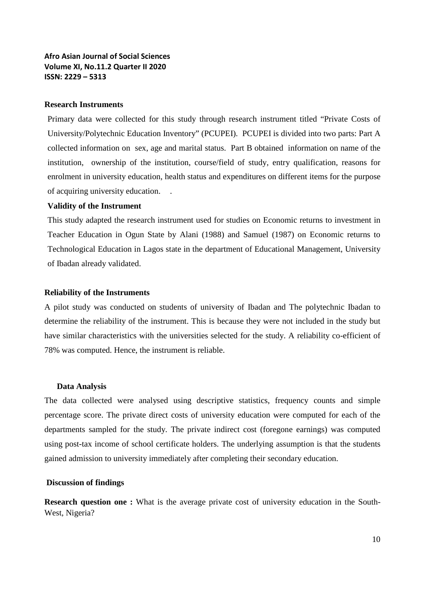#### **Research Instruments**

Primary data were collected for this study through research instrument titled "Private Costs of University/Polytechnic Education Inventory" (PCUPEI). PCUPEI is divided into two parts: Part A collected information on sex, age and marital status. Part B obtained information on name of the institution, ownership of the institution, course/field of study, entry qualification, reasons for enrolment in university education, health status and expenditures on different items for the purpose of acquiring university education. .

#### **Validity of the Instrument**

This study adapted the research instrument used for studies on Economic returns to investment in Teacher Education in Ogun State by Alani (1988) and Samuel (1987) on Economic returns to Technological Education in Lagos state in the department of Educational Management, University of Ibadan already validated.

#### **Reliability of the Instruments**

A pilot study was conducted on students of university of Ibadan and The polytechnic Ibadan to determine the reliability of the instrument. This is because they were not included in the study but have similar characteristics with the universities selected for the study. A reliability co-efficient of 78% was computed. Hence, the instrument is reliable.

#### **Data Analysis**

The data collected were analysed using descriptive statistics, frequency counts and simple percentage score. The private direct costs of university education were computed for each of the departments sampled for the study. The private indirect cost (foregone earnings) was computed using post-tax income of school certificate holders. The underlying assumption is that the students gained admission to university immediately after completing their secondary education.

#### **Discussion of findings**

**Research question one :** What is the average private cost of university education in the South-West, Nigeria?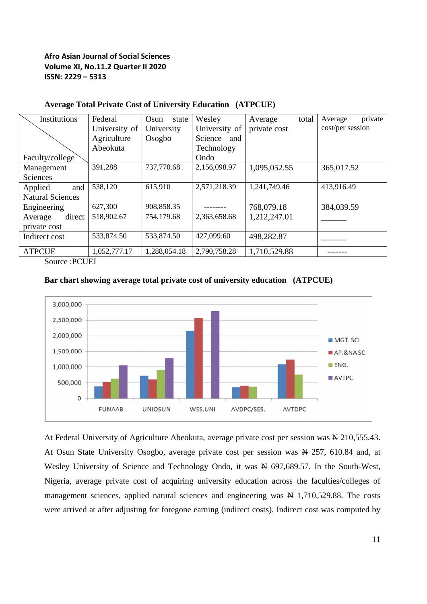| Institutions            | Federal       | Osun<br>state | Wesley        | Average      | total | private<br>Average |
|-------------------------|---------------|---------------|---------------|--------------|-------|--------------------|
|                         | University of | University    | University of | private cost |       | cost/per session   |
|                         | Agriculture   | Osogbo        | Science and   |              |       |                    |
|                         | Abeokuta      |               | Technology    |              |       |                    |
| Faculty/college         |               |               | Ondo          |              |       |                    |
| Management              | 391,288       | 737,770.68    | 2,156,098.97  | 1,095,052.55 |       | 365,017.52         |
| <b>Sciences</b>         |               |               |               |              |       |                    |
| Applied<br>and          | 538,120       | 615,910       | 2,571,218.39  | 1,241,749.46 |       | 413,916.49         |
| <b>Natural Sciences</b> |               |               |               |              |       |                    |
| Engineering             | 627,300       | 908,858.35    |               | 768,079.18   |       | 384,039.59         |
| direct<br>Average       | 518,902.67    | 754,179.68    | 2,363,658.68  | 1,212,247.01 |       |                    |
| private cost            |               |               |               |              |       |                    |
| Indirect cost           | 533,874.50    | 533,874.50    | 427,099.60    | 498,282.87   |       |                    |
| <b>ATPCUE</b>           | 1,052,777.17  | 1,288,054.18  | 2,790,758.28  | 1,710,529.88 |       |                    |

## **Average Total Private Cost of University Education (ATPCUE)**

Source :PCUEI





At Federal University of Agriculture Abeokuta, average private cost per session was  $\cancel{\text{A}}$  210,555.43. At Osun State University Osogbo, average private cost per session was  $\cancel{R}$  257, 610.84 and, at Wesley University of Science and Technology Ondo, it was  $\cancel{\text{N}}$  697,689.57. In the South-West, Nigeria, average private cost of acquiring university education across the faculties/colleges of management sciences, applied natural sciences and engineering was  $\cancel{H}$  1,710,529.88. The costs were arrived at after adjusting for foregone earning (indirect costs). Indirect cost was computed by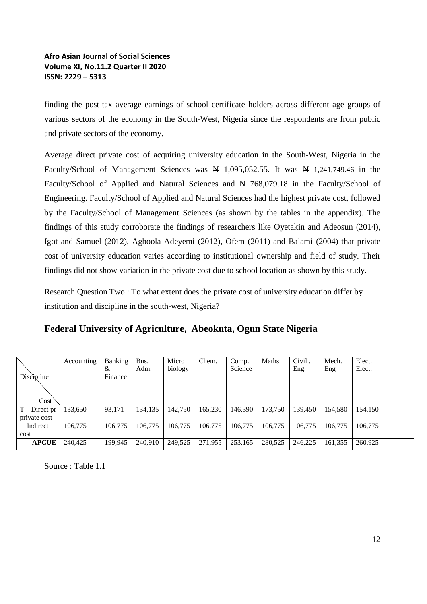finding the post-tax average earnings of school certificate holders across different age groups of various sectors of the economy in the South-West, Nigeria since the respondents are from public and private sectors of the economy.

Average direct private cost of acquiring university education in the South-West, Nigeria in the Faculty/School of Management Sciences was  $\overline{M}$  1,095,052.55. It was  $\overline{N}$  1,241,749.46 in the Faculty/School of Applied and Natural Sciences and  $\frac{N}{2}$  768,079.18 in the Faculty/School of Engineering. Faculty/School of Applied and Natural Sciences had the highest private cost, followed by the Faculty/School of Management Sciences (as shown by the tables in the appendix). The findings of this study corroborate the findings of researchers like Oyetakin and Adeosun (2014), Igot and Samuel (2012), Agboola Adeyemi (2012), Ofem (2011) and Balami (2004) that private cost of university education varies according to institutional ownership and field of study. Their findings did not show variation in the private cost due to school location as shown by this study.

Research Question Two : To what extent does the private cost of university education differ by institution and discipline in the south-west, Nigeria?

|  |  |  | Federal University of Agriculture, Abeokuta, Ogun State Nigeria |  |  |  |
|--|--|--|-----------------------------------------------------------------|--|--|--|
|--|--|--|-----------------------------------------------------------------|--|--|--|

| Discipline   | Accounting | Banking<br>&<br>Finance | Bus.<br>Adm. | Micro<br>biology | Chem.   | Comp.<br>Science | Maths   | Civil.<br>Eng. | Mech.<br>Eng | Elect.<br>Elect. |  |
|--------------|------------|-------------------------|--------------|------------------|---------|------------------|---------|----------------|--------------|------------------|--|
| Cost         |            |                         |              |                  |         |                  |         |                |              |                  |  |
| Direct pr    | 133,650    | 93,171                  | 134,135      | 142,750          | 165,230 | 146,390          | 173,750 | 139.450        | 154,580      | 154,150          |  |
| private cost |            |                         |              |                  |         |                  |         |                |              |                  |  |
| Indirect     | 106.775    | 106,775                 | 106,775      | 106,775          | 106,775 | 106,775          | 106,775 | 106,775        | 106,775      | 106,775          |  |
| cost         |            |                         |              |                  |         |                  |         |                |              |                  |  |
| <b>APCUE</b> | 240,425    | 199,945                 | 240,910      | 249,525          | 271,955 | 253,165          | 280,525 | 246,225        | 161,355      | 260,925          |  |

Source : Table 1.1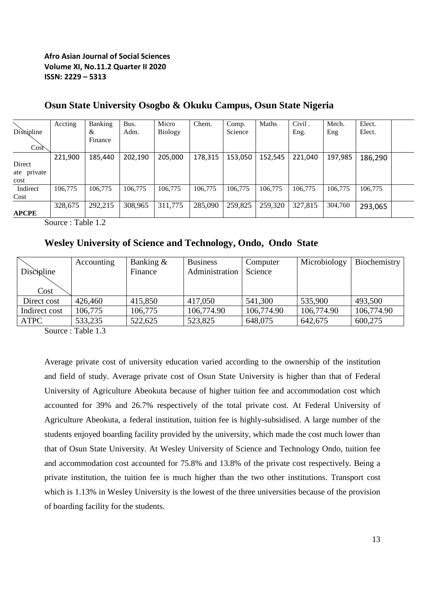|                  | Accting | Banking | Bus.    | Micro          | Chem.   | Comp.   | Maths   | Civil.  | Mech.   | Elect.  |  |
|------------------|---------|---------|---------|----------------|---------|---------|---------|---------|---------|---------|--|
| Discipline       |         | &       | Adm.    | <b>Biology</b> |         | Science |         | Eng.    | Eng     | Elect.  |  |
|                  |         | Finance |         |                |         |         |         |         |         |         |  |
| Cos <sub>o</sub> |         |         |         |                |         |         |         |         |         |         |  |
|                  | 221,900 | 185,440 | 202,190 | 205,000        | 178,315 | 153,050 | 152,545 | 221,040 | 197,985 | 186,290 |  |
| Direct           |         |         |         |                |         |         |         |         |         |         |  |
| ate private      |         |         |         |                |         |         |         |         |         |         |  |
| cost             |         |         |         |                |         |         |         |         |         |         |  |
| Indirect         | 106,775 | 106,775 | 106,775 | 106,775        | 106,775 | 106,775 | 106,775 | 106,775 | 106,775 | 106,775 |  |
| Cost             |         |         |         |                |         |         |         |         |         |         |  |
|                  | 328,675 | 292,215 | 308,965 | 311,775        | 285,090 | 259,825 | 259,320 | 327,815 | 304,760 | 293,065 |  |
| <b>APCPE</b>     |         |         |         |                |         |         |         |         |         |         |  |

# **Osun State University Osogbo & Okuku Campus, Osun State Nigeria**

Source : Table 1.2

# **Wesley University of Science and Technology, Ondo, Ondo State**

|               | Accounting | Banking $\&$ | <b>Business</b> | Computer   | Microbiology | Biochemistry |
|---------------|------------|--------------|-----------------|------------|--------------|--------------|
| Discipline    |            | Finance      | Administration  | Science    |              |              |
| Cost          |            |              |                 |            |              |              |
| Direct cost   | 426,460    | 415,850      | 417,050         | 541,300    | 535,900      | 493,500      |
| Indirect cost | 106,775    | 106,775      | 106,774.90      | 106,774.90 | 106,774.90   | 106,774.90   |
| <b>ATPC</b>   | 533,235    | 522,625      | 523,825         | 648,075    | 642,675      | 600,275      |

Source : Table 1.3

Average private cost of university education varied according to the ownership of the institution and field of study. Average private cost of Osun State University is higher than that of Federal University of Agriculture Abeokuta because of higher tuition fee and accommodation cost which accounted for 39% and 26.7% respectively of the total private cost. At Federal University of Agriculture Abeokuta, a federal institution, tuition fee is highly-subsidised. A large number of the students enjoyed boarding facility provided by the university, which made the cost much lower than that of Osun State University. At Wesley University of Science and Technology Ondo, tuition fee and accommodation cost accounted for 75.8% and 13.8% of the private cost respectively. Being a private institution, the tuition fee is much higher than the two other institutions. Transport cost which is 1.13% in Wesley University is the lowest of the three universities because of the provision of boarding facility for the students.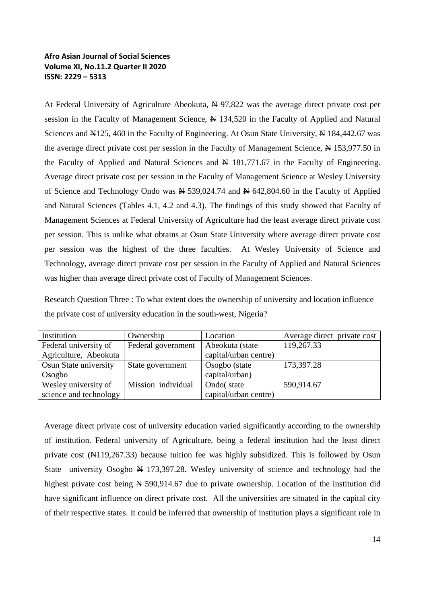At Federal University of Agriculture Abeokuta,  $\frac{N}{2}$  97,822 was the average direct private cost per session in the Faculty of Management Science,  $\cancel{N}$  134,520 in the Faculty of Applied and Natural Sciences and N125, 460 in the Faculty of Engineering. At Osun State University, N 184,442.67 was the average direct private cost per session in the Faculty of Management Science,  $\cancel{\text{N}}$  153,977.50 in the Faculty of Applied and Natural Sciences and  $\frac{N}{N}$  181,771.67 in the Faculty of Engineering. Average direct private cost per session in the Faculty of Management Science at Wesley University of Science and Technology Ondo was  $\cancel{\text{N}}$  539,024.74 and  $\cancel{\text{N}}$  642,804.60 in the Faculty of Applied and Natural Sciences (Tables 4.1, 4.2 and 4.3). The findings of this study showed that Faculty of Management Sciences at Federal University of Agriculture had the least average direct private cost per session. This is unlike what obtains at Osun State University where average direct private cost per session was the highest of the three faculties. At Wesley University of Science and Technology, average direct private cost per session in the Faculty of Applied and Natural Sciences was higher than average direct private cost of Faculty of Management Sciences.

Research Question Three : To what extent does the ownership of university and location influence the private cost of university education in the south-west, Nigeria?

| Institution            | Ownership          | Location              | Average direct private cost |
|------------------------|--------------------|-----------------------|-----------------------------|
| Federal university of  | Federal government | Abeokuta (state       | 119,267.33                  |
| Agriculture, Abeokuta  |                    | capital/urban centre) |                             |
| Osun State university  | State government   | Osogbo (state         | 173,397.28                  |
| Osogbo                 |                    | capital/urban)        |                             |
| Wesley university of   | Mission individual | Ondo(state            | 590,914.67                  |
| science and technology |                    | capital/urban centre) |                             |

Average direct private cost of university education varied significantly according to the ownership of institution. Federal university of Agriculture, being a federal institution had the least direct private cost  $(\text{N119}, 267.33)$  because tuition fee was highly subsidized. This is followed by Osun State university Osogbo  $\cancel{N}$  173,397.28. Wesley university of science and technology had the highest private cost being  $\cancel{N}$  590,914.67 due to private ownership. Location of the institution did have significant influence on direct private cost. All the universities are situated in the capital city of their respective states. It could be inferred that ownership of institution plays a significant role in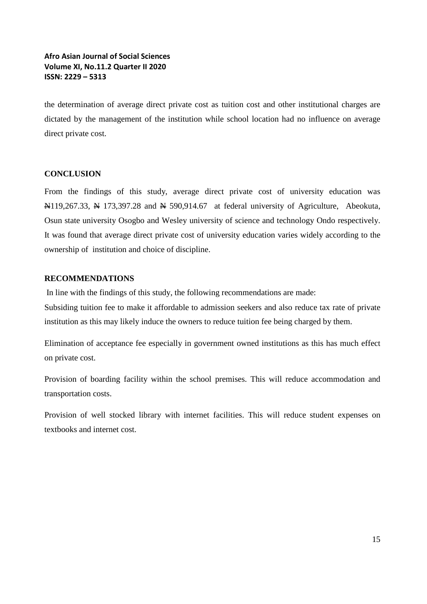the determination of average direct private cost as tuition cost and other institutional charges are dictated by the management of the institution while school location had no influence on average direct private cost.

#### **CONCLUSION**

From the findings of this study, average direct private cost of university education was  $\mathbb{N}119,267.33$ ,  $\mathbb{N}173,397.28$  and  $\mathbb{N}590,914.67$  at federal university of Agriculture, Abeokuta, Osun state university Osogbo and Wesley university of science and technology Ondo respectively. It was found that average direct private cost of university education varies widely according to the ownership of institution and choice of discipline.

#### **RECOMMENDATIONS**

In line with the findings of this study, the following recommendations are made:

Subsiding tuition fee to make it affordable to admission seekers and also reduce tax rate of private institution as this may likely induce the owners to reduce tuition fee being charged by them.

Elimination of acceptance fee especially in government owned institutions as this has much effect on private cost.

Provision of boarding facility within the school premises. This will reduce accommodation and transportation costs.

Provision of well stocked library with internet facilities. This will reduce student expenses on textbooks and internet cost.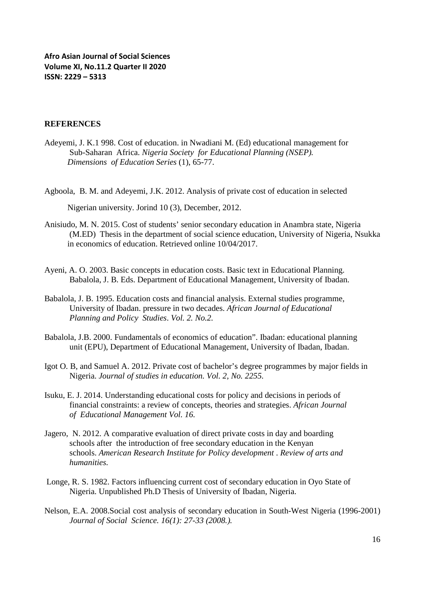### **REFERENCES**

- Adeyemi, J. K.1 998. Cost of education. in Nwadiani M. (Ed) educational management for Sub-Saharan Africa. *Nigeria Society for Educational Planning (NSEP). Dimensions of Education Series* (1), 65-77.
- Agboola, B. M. and Adeyemi, J.K. 2012. Analysis of private cost of education in selected Nigerian university. Jorind 10 (3), December, 2012.
- Anisiudo, M. N. 2015. Cost of students' senior secondary education in Anambra state, Nigeria (M.ED) Thesis in the department of social science education, University of Nigeria, Nsukka in economics of education. Retrieved online 10/04/2017.
- Ayeni, A. O. 2003. Basic concepts in education costs. Basic text in Educational Planning. Babalola, J. B. Eds. Department of Educational Management, University of Ibadan.
- Babalola, J. B. 1995. Education costs and financial analysis. External studies programme, University of Ibadan. pressure in two decades. *African Journal of Educational Planning and Policy Studies*. *Vol. 2. No.2.*
- Babalola, J.B. 2000. Fundamentals of economics of education". Ibadan: educational planning unit (EPU), Department of Educational Management, University of Ibadan, Ibadan.
- Igot O. B, and Samuel A. 2012. Private cost of bachelor's degree programmes by major fields in Nigeria. *Journal of studies in education. Vol. 2, No. 2255.*
- Isuku, E. J. 2014. Understanding educational costs for policy and decisions in periods of financial constraints: a review of concepts, theories and strategies. *African Journal of Educational Management Vol. 16.*
- Jagero, N. 2012. A comparative evaluation of direct private costs in day and boarding schools after the introduction of free secondary education in the Kenyan schools. *American Research Institute for Policy development* . *Review of arts and humanities.*
- Longe, R. S. 1982. Factors influencing current cost of secondary education in Oyo State of Nigeria. Unpublished Ph.D Thesis of University of Ibadan, Nigeria.
- Nelson, E.A. 2008.Social cost analysis of secondary education in South-West Nigeria (1996-2001) *Journal of Social Science. 16(1): 27-33 (2008.).*